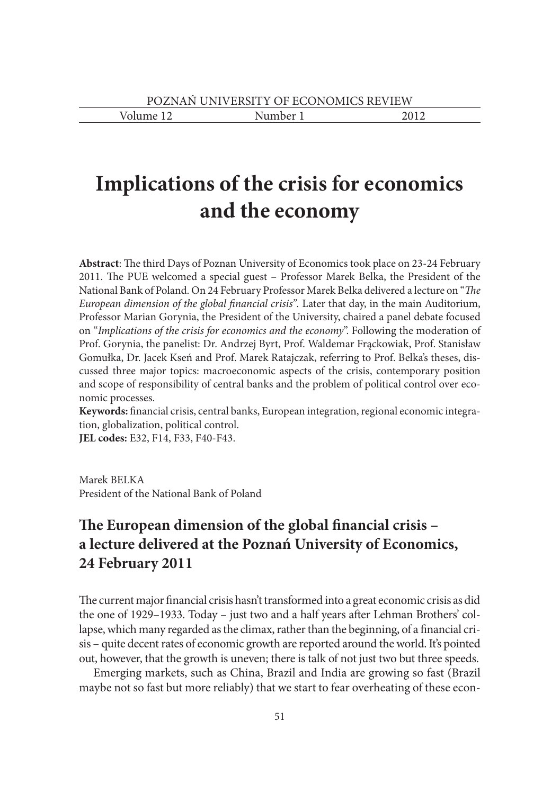## **Implications of the crisis for economics and the economy**

**Abstract**: The third Days of Poznan University of Economics took place on 23-24 February 2011. The PUE welcomed a special guest – Professor Marek Belka, the President of the National Bank of Poland. On 24 February Professor Marek Belka delivered a lecture on "*The European dimension of the global financial crisis".* Later that day, in the main Auditorium, Professor Marian Gorynia, the President of the University, chaired a panel debate focused on "*Implications of the crisis for economics and the economy*". Following the moderation of Prof. Gorynia, the panelist: Dr. Andrzej Byrt, Prof. Waldemar Frąckowiak, Prof. Stanisław Gomułka, Dr. Jacek Kseń and Prof. Marek Ratajczak, referring to Prof. Belka's theses, discussed three major topics: macroeconomic aspects of the crisis, contemporary position and scope of responsibility of central banks and the problem of political control over economic processes.

**Keywords:** financial crisis, central banks, European integration, regional economic integration, globalization, political control.

**JEL codes:** E32, F14, F33, F40-F43.

Marek BELKA President of the National Bank of Poland

## **The European dimension of the global financial crisis – a lecture delivered at the Poznań University of Economics, 24 February 2011**

The current major financial crisis hasn't transformed into a great economic crisis as did the one of 1929–1933. Today – just two and a half years after Lehman Brothers' collapse, which many regarded as the climax, rather than the beginning, of a financial crisis – quite decent rates of economic growth are reported around the world. It's pointed out, however, that the growth is uneven; there is talk of not just two but three speeds.

Emerging markets, such as China, Brazil and India are growing so fast (Brazil maybe not so fast but more reliably) that we start to fear overheating of these econ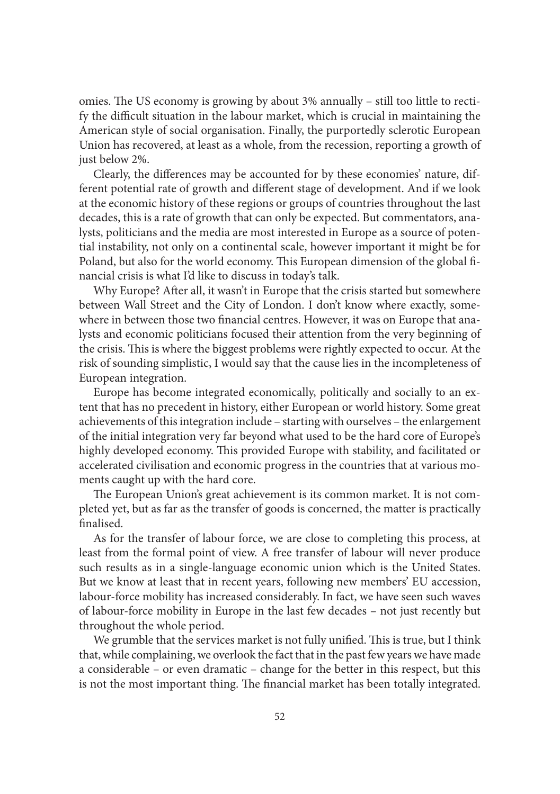omies. The US economy is growing by about 3% annually – still too little to rectify the difficult situation in the labour market, which is crucial in maintaining the American style of social organisation. Finally, the purportedly sclerotic European Union has recovered, at least as a whole, from the recession, reporting a growth of just below 2%.

Clearly, the differences may be accounted for by these economies' nature, different potential rate of growth and different stage of development. And if we look at the economic history of these regions or groups of countries throughout the last decades, this is a rate of growth that can only be expected. But commentators, analysts, politicians and the media are most interested in Europe as a source of potential instability, not only on a continental scale, however important it might be for Poland, but also for the world economy. This European dimension of the global financial crisis is what I'd like to discuss in today's talk.

Why Europe? After all, it wasn't in Europe that the crisis started but somewhere between Wall Street and the City of London. I don't know where exactly, somewhere in between those two financial centres. However, it was on Europe that analysts and economic politicians focused their attention from the very beginning of the crisis. This is where the biggest problems were rightly expected to occur. At the risk of sounding simplistic, I would say that the cause lies in the incompleteness of European integration.

Europe has become integrated economically, politically and socially to an extent that has no precedent in history, either European or world history. Some great achievements of this integration include – starting with ourselves – the enlargement of the initial integration very far beyond what used to be the hard core of Europe's highly developed economy. This provided Europe with stability, and facilitated or accelerated civilisation and economic progress in the countries that at various moments caught up with the hard core.

The European Union's great achievement is its common market. It is not completed yet, but as far as the transfer of goods is concerned, the matter is practically finalised.

As for the transfer of labour force, we are close to completing this process, at least from the formal point of view. A free transfer of labour will never produce such results as in a single-language economic union which is the United States. But we know at least that in recent years, following new members' EU accession, labour-force mobility has increased considerably. In fact, we have seen such waves of labour-force mobility in Europe in the last few decades – not just recently but throughout the whole period.

We grumble that the services market is not fully unified. This is true, but I think that, while complaining, we overlook the fact that in the past few years we have made a considerable – or even dramatic – change for the better in this respect, but this is not the most important thing. The financial market has been totally integrated.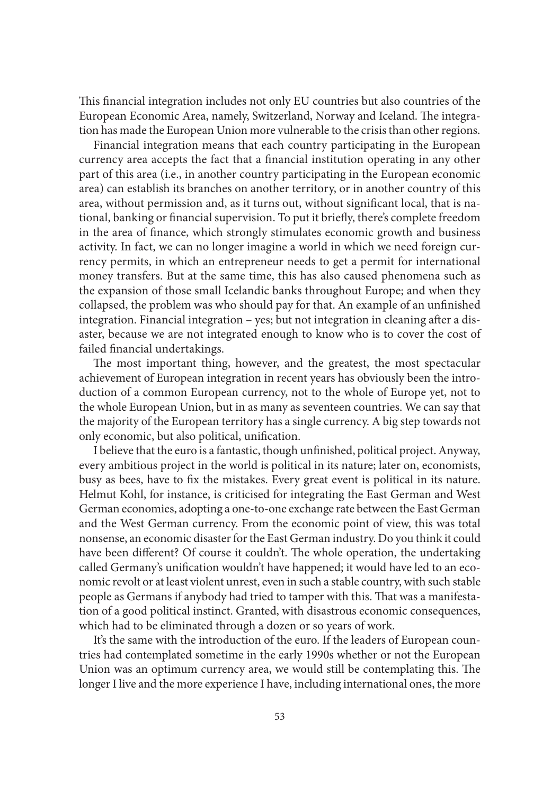This financial integration includes not only EU countries but also countries of the European Economic Area, namely, Switzerland, Norway and Iceland. The integration has made the European Union more vulnerable to the crisis than other regions.

Financial integration means that each country participating in the European currency area accepts the fact that a financial institution operating in any other part of this area (i.e., in another country participating in the European economic area) can establish its branches on another territory, or in another country of this area, without permission and, as it turns out, without significant local, that is national, banking or financial supervision. To put it briefly, there's complete freedom in the area of finance, which strongly stimulates economic growth and business activity. In fact, we can no longer imagine a world in which we need foreign currency permits, in which an entrepreneur needs to get a permit for international money transfers. But at the same time, this has also caused phenomena such as the expansion of those small Icelandic banks throughout Europe; and when they collapsed, the problem was who should pay for that. An example of an unfinished integration. Financial integration – yes; but not integration in cleaning after a disaster, because we are not integrated enough to know who is to cover the cost of failed financial undertakings.

The most important thing, however, and the greatest, the most spectacular achievement of European integration in recent years has obviously been the introduction of a common European currency, not to the whole of Europe yet, not to the whole European Union, but in as many as seventeen countries. We can say that the majority of the European territory has a single currency. A big step towards not only economic, but also political, unification.

I believe that the euro is a fantastic, though unfinished, political project. Anyway, every ambitious project in the world is political in its nature; later on, economists, busy as bees, have to fix the mistakes. Every great event is political in its nature. Helmut Kohl, for instance, is criticised for integrating the East German and West German economies, adopting a one-to-one exchange rate between the East German and the West German currency. From the economic point of view, this was total nonsense, an economic disaster for the East German industry. Do you think it could have been different? Of course it couldn't. The whole operation, the undertaking called Germany's unification wouldn't have happened; it would have led to an economic revolt or at least violent unrest, even in such a stable country, with such stable people as Germans if anybody had tried to tamper with this. That was a manifestation of a good political instinct. Granted, with disastrous economic consequences, which had to be eliminated through a dozen or so years of work.

It's the same with the introduction of the euro. If the leaders of European countries had contemplated sometime in the early 1990s whether or not the European Union was an optimum currency area, we would still be contemplating this. The longer I live and the more experience I have, including international ones, the more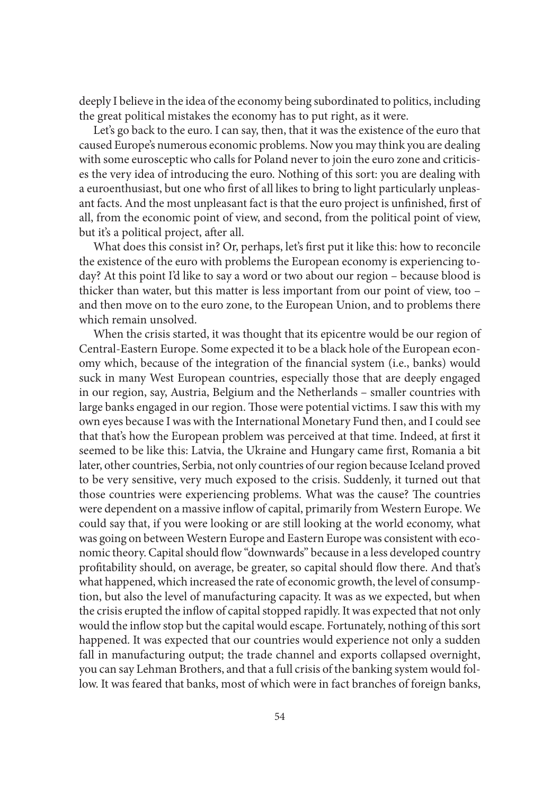deeply I believe in the idea of the economy being subordinated to politics, including the great political mistakes the economy has to put right, as it were.

Let's go back to the euro. I can say, then, that it was the existence of the euro that caused Europe's numerous economic problems. Now you may think you are dealing with some eurosceptic who calls for Poland never to join the euro zone and criticises the very idea of introducing the euro. Nothing of this sort: you are dealing with a euroenthusiast, but one who first of all likes to bring to light particularly unpleasant facts. And the most unpleasant fact is that the euro project is unfinished, first of all, from the economic point of view, and second, from the political point of view, but it's a political project, after all.

What does this consist in? Or, perhaps, let's first put it like this: how to reconcile the existence of the euro with problems the European economy is experiencing today? At this point I'd like to say a word or two about our region – because blood is thicker than water, but this matter is less important from our point of view, too – and then move on to the euro zone, to the European Union, and to problems there which remain unsolved.

When the crisis started, it was thought that its epicentre would be our region of Central-Eastern Europe. Some expected it to be a black hole of the European economy which, because of the integration of the financial system (i.e., banks) would suck in many West European countries, especially those that are deeply engaged in our region, say, Austria, Belgium and the Netherlands – smaller countries with large banks engaged in our region. Those were potential victims. I saw this with my own eyes because I was with the International Monetary Fund then, and I could see that that's how the European problem was perceived at that time. Indeed, at first it seemed to be like this: Latvia, the Ukraine and Hungary came first, Romania a bit later, other countries, Serbia, not only countries of our region because Iceland proved to be very sensitive, very much exposed to the crisis. Suddenly, it turned out that those countries were experiencing problems. What was the cause? The countries were dependent on a massive inflow of capital, primarily from Western Europe. We could say that, if you were looking or are still looking at the world economy, what was going on between Western Europe and Eastern Europe was consistent with economic theory. Capital should flow "downwards" because in a less developed country profitability should, on average, be greater, so capital should flow there. And that's what happened, which increased the rate of economic growth, the level of consumption, but also the level of manufacturing capacity. It was as we expected, but when the crisis erupted the inflow of capital stopped rapidly. It was expected that not only would the inflow stop but the capital would escape. Fortunately, nothing of this sort happened. It was expected that our countries would experience not only a sudden fall in manufacturing output; the trade channel and exports collapsed overnight, you can say Lehman Brothers, and that a full crisis of the banking system would follow. It was feared that banks, most of which were in fact branches of foreign banks,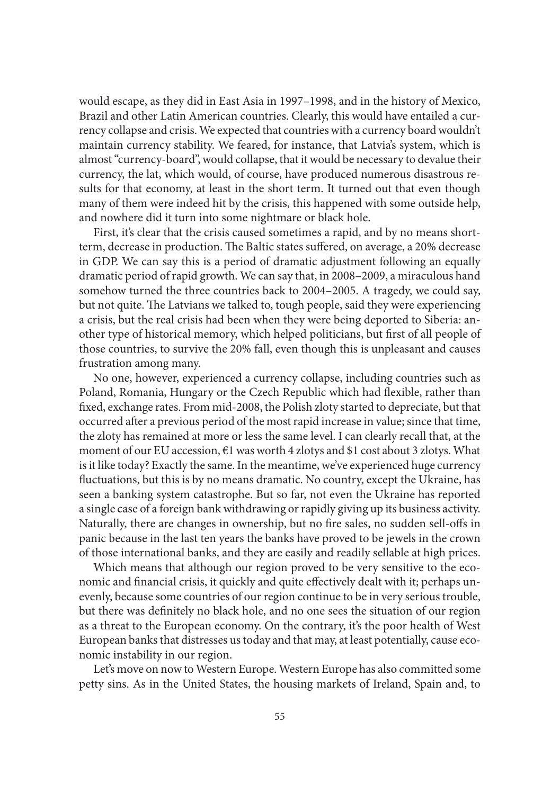would escape, as they did in East Asia in 1997–1998, and in the history of Mexico, Brazil and other Latin American countries. Clearly, this would have entailed a currency collapse and crisis. We expected that countries with a currency board wouldn't maintain currency stability. We feared, for instance, that Latvia's system, which is almost "currency-board", would collapse, that it would be necessary to devalue their currency, the lat, which would, of course, have produced numerous disastrous results for that economy, at least in the short term. It turned out that even though many of them were indeed hit by the crisis, this happened with some outside help, and nowhere did it turn into some nightmare or black hole.

First, it's clear that the crisis caused sometimes a rapid, and by no means shortterm, decrease in production. The Baltic states suffered, on average, a 20% decrease in GDP. We can say this is a period of dramatic adjustment following an equally dramatic period of rapid growth. We can say that, in 2008–2009, a miraculous hand somehow turned the three countries back to 2004–2005. A tragedy, we could say, but not quite. The Latvians we talked to, tough people, said they were experiencing a crisis, but the real crisis had been when they were being deported to Siberia: another type of historical memory, which helped politicians, but first of all people of those countries, to survive the 20% fall, even though this is unpleasant and causes frustration among many.

No one, however, experienced a currency collapse, including countries such as Poland, Romania, Hungary or the Czech Republic which had flexible, rather than fixed, exchange rates. From mid-2008, the Polish zloty started to depreciate, but that occurred after a previous period of the most rapid increase in value; since that time, the zloty has remained at more or less the same level. I can clearly recall that, at the moment of our EU accession, €1 was worth 4 zlotys and \$1 cost about 3 zlotys. What is it like today? Exactly the same. In the meantime, we've experienced huge currency fluctuations, but this is by no means dramatic. No country, except the Ukraine, has seen a banking system catastrophe. But so far, not even the Ukraine has reported a single case of a foreign bank withdrawing or rapidly giving up its business activity. Naturally, there are changes in ownership, but no fire sales, no sudden sell-offs in panic because in the last ten years the banks have proved to be jewels in the crown of those international banks, and they are easily and readily sellable at high prices.

Which means that although our region proved to be very sensitive to the economic and financial crisis, it quickly and quite effectively dealt with it; perhaps unevenly, because some countries of our region continue to be in very serious trouble, but there was definitely no black hole, and no one sees the situation of our region as a threat to the European economy. On the contrary, it's the poor health of West European banks that distresses us today and that may, at least potentially, cause economic instability in our region.

Let's move on now to Western Europe. Western Europe has also committed some petty sins. As in the United States, the housing markets of Ireland, Spain and, to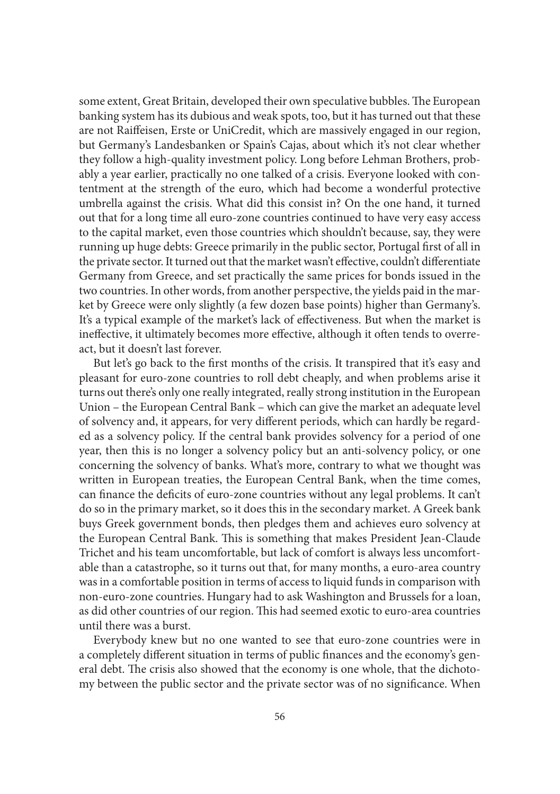some extent, Great Britain, developed their own speculative bubbles. The European banking system has its dubious and weak spots, too, but it has turned out that these are not Raiffeisen, Erste or UniCredit, which are massively engaged in our region, but Germany's Landesbanken or Spain's Cajas, about which it's not clear whether they follow a high-quality investment policy. Long before Lehman Brothers, probably a year earlier, practically no one talked of a crisis. Everyone looked with contentment at the strength of the euro, which had become a wonderful protective umbrella against the crisis. What did this consist in? On the one hand, it turned out that for a long time all euro-zone countries continued to have very easy access to the capital market, even those countries which shouldn't because, say, they were running up huge debts: Greece primarily in the public sector, Portugal first of all in the private sector. It turned out that the market wasn't effective, couldn't differentiate Germany from Greece, and set practically the same prices for bonds issued in the two countries. In other words, from another perspective, the yields paid in the market by Greece were only slightly (a few dozen base points) higher than Germany's. It's a typical example of the market's lack of effectiveness. But when the market is ineffective, it ultimately becomes more effective, although it often tends to overreact, but it doesn't last forever.

But let's go back to the first months of the crisis. It transpired that it's easy and pleasant for euro-zone countries to roll debt cheaply, and when problems arise it turns out there's only one really integrated, really strong institution in the European Union – the European Central Bank – which can give the market an adequate level of solvency and, it appears, for very different periods, which can hardly be regarded as a solvency policy. If the central bank provides solvency for a period of one year, then this is no longer a solvency policy but an anti-solvency policy, or one concerning the solvency of banks. What's more, contrary to what we thought was written in European treaties, the European Central Bank, when the time comes, can finance the deficits of euro-zone countries without any legal problems. It can't do so in the primary market, so it does this in the secondary market. A Greek bank buys Greek government bonds, then pledges them and achieves euro solvency at the European Central Bank. This is something that makes President Jean-Claude Trichet and his team uncomfortable, but lack of comfort is always less uncomfortable than a catastrophe, so it turns out that, for many months, a euro-area country was in a comfortable position in terms of access to liquid funds in comparison with non-euro-zone countries. Hungary had to ask Washington and Brussels for a loan, as did other countries of our region. This had seemed exotic to euro-area countries until there was a burst.

Everybody knew but no one wanted to see that euro-zone countries were in a completely different situation in terms of public finances and the economy's general debt. The crisis also showed that the economy is one whole, that the dichotomy between the public sector and the private sector was of no significance. When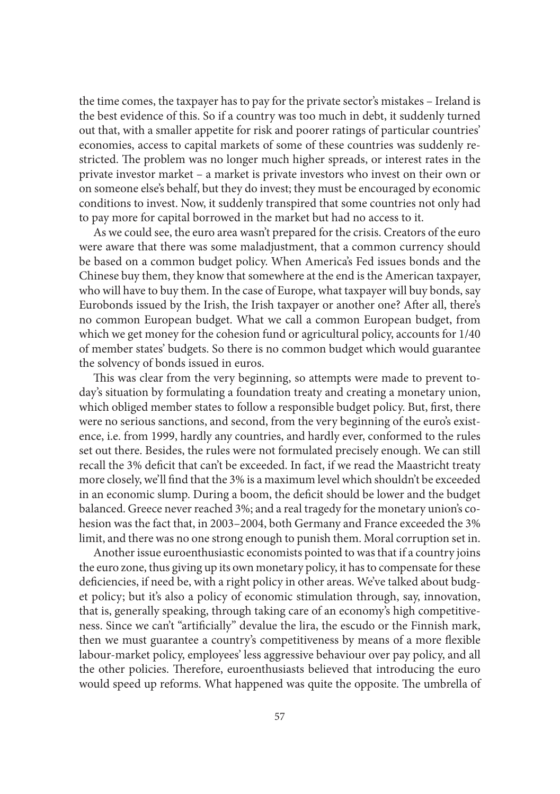the time comes, the taxpayer has to pay for the private sector's mistakes – Ireland is the best evidence of this. So if a country was too much in debt, it suddenly turned out that, with a smaller appetite for risk and poorer ratings of particular countries' economies, access to capital markets of some of these countries was suddenly restricted. The problem was no longer much higher spreads, or interest rates in the private investor market – a market is private investors who invest on their own or on someone else's behalf, but they do invest; they must be encouraged by economic conditions to invest. Now, it suddenly transpired that some countries not only had to pay more for capital borrowed in the market but had no access to it.

As we could see, the euro area wasn't prepared for the crisis. Creators of the euro were aware that there was some maladjustment, that a common currency should be based on a common budget policy. When America's Fed issues bonds and the Chinese buy them, they know that somewhere at the end is the American taxpayer, who will have to buy them. In the case of Europe, what taxpayer will buy bonds, say Eurobonds issued by the Irish, the Irish taxpayer or another one? After all, there's no common European budget. What we call a common European budget, from which we get money for the cohesion fund or agricultural policy, accounts for 1/40 of member states' budgets. So there is no common budget which would guarantee the solvency of bonds issued in euros.

This was clear from the very beginning, so attempts were made to prevent today's situation by formulating a foundation treaty and creating a monetary union, which obliged member states to follow a responsible budget policy. But, first, there were no serious sanctions, and second, from the very beginning of the euro's existence, i.e. from 1999, hardly any countries, and hardly ever, conformed to the rules set out there. Besides, the rules were not formulated precisely enough. We can still recall the 3% deficit that can't be exceeded. In fact, if we read the Maastricht treaty more closely, we'll find that the 3% is a maximum level which shouldn't be exceeded in an economic slump. During a boom, the deficit should be lower and the budget balanced. Greece never reached 3%; and a real tragedy for the monetary union's cohesion was the fact that, in 2003–2004, both Germany and France exceeded the 3% limit, and there was no one strong enough to punish them. Moral corruption set in.

Another issue euroenthusiastic economists pointed to was that if a country joins the euro zone, thus giving up its own monetary policy, it has to compensate for these deficiencies, if need be, with a right policy in other areas. We've talked about budget policy; but it's also a policy of economic stimulation through, say, innovation, that is, generally speaking, through taking care of an economy's high competitiveness. Since we can't "artificially" devalue the lira, the escudo or the Finnish mark, then we must guarantee a country's competitiveness by means of a more flexible labour-market policy, employees' less aggressive behaviour over pay policy, and all the other policies. Therefore, euroenthusiasts believed that introducing the euro would speed up reforms. What happened was quite the opposite. The umbrella of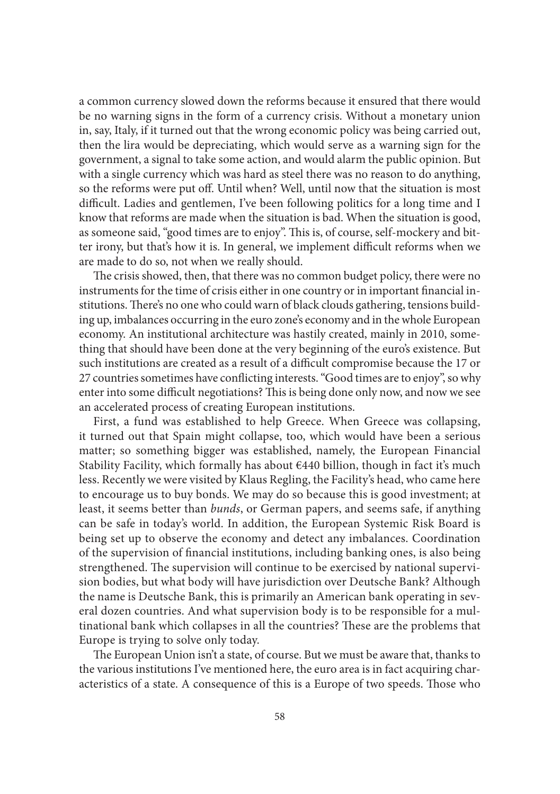a common currency slowed down the reforms because it ensured that there would be no warning signs in the form of a currency crisis. Without a monetary union in, say, Italy, if it turned out that the wrong economic policy was being carried out, then the lira would be depreciating, which would serve as a warning sign for the government, a signal to take some action, and would alarm the public opinion. But with a single currency which was hard as steel there was no reason to do anything, so the reforms were put off. Until when? Well, until now that the situation is most difficult. Ladies and gentlemen, I've been following politics for a long time and I know that reforms are made when the situation is bad. When the situation is good, as someone said, "good times are to enjoy". This is, of course, self-mockery and bitter irony, but that's how it is. In general, we implement difficult reforms when we are made to do so, not when we really should.

The crisis showed, then, that there was no common budget policy, there were no instruments for the time of crisis either in one country or in important financial institutions. There's no one who could warn of black clouds gathering, tensions building up, imbalances occurring in the euro zone's economy and in the whole European economy. An institutional architecture was hastily created, mainly in 2010, something that should have been done at the very beginning of the euro's existence. But such institutions are created as a result of a difficult compromise because the 17 or 27 countries sometimes have conflicting interests. "Good times are to enjoy", so why enter into some difficult negotiations? This is being done only now, and now we see an accelerated process of creating European institutions.

First, a fund was established to help Greece. When Greece was collapsing, it turned out that Spain might collapse, too, which would have been a serious matter; so something bigger was established, namely, the European Financial Stability Facility, which formally has about  $E440$  billion, though in fact it's much less. Recently we were visited by Klaus Regling, the Facility's head, who came here to encourage us to buy bonds. We may do so because this is good investment; at least, it seems better than *bunds*, or German papers, and seems safe, if anything can be safe in today's world. In addition, the European Systemic Risk Board is being set up to observe the economy and detect any imbalances. Coordination of the supervision of financial institutions, including banking ones, is also being strengthened. The supervision will continue to be exercised by national supervision bodies, but what body will have jurisdiction over Deutsche Bank? Although the name is Deutsche Bank, this is primarily an American bank operating in several dozen countries. And what supervision body is to be responsible for a multinational bank which collapses in all the countries? These are the problems that Europe is trying to solve only today.

The European Union isn't a state, of course. But we must be aware that, thanks to the various institutions I've mentioned here, the euro area is in fact acquiring characteristics of a state. A consequence of this is a Europe of two speeds. Those who